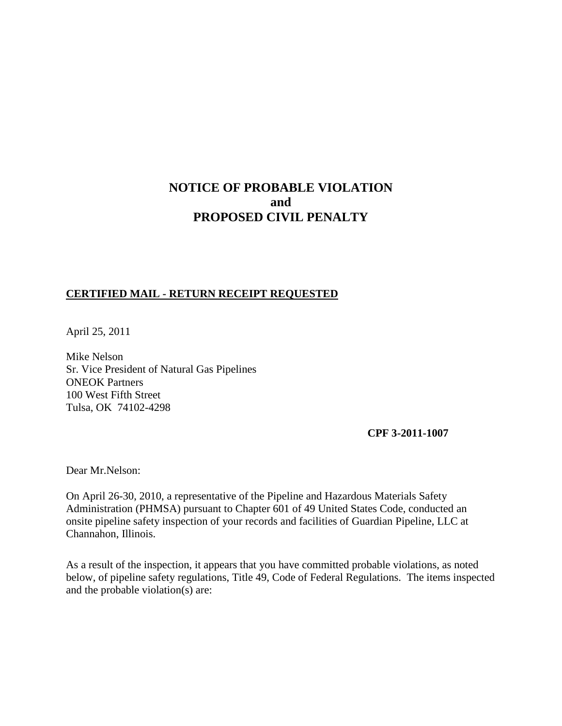# **NOTICE OF PROBABLE VIOLATION and PROPOSED CIVIL PENALTY**

## **CERTIFIED MAIL - RETURN RECEIPT REQUESTED**

April 25, 2011

Mike Nelson Sr. Vice President of Natural Gas Pipelines ONEOK Partners 100 West Fifth Street Tulsa, OK 74102-4298

**CPF 3-2011-1007**

Dear Mr.Nelson:

On April 26-30, 2010, a representative of the Pipeline and Hazardous Materials Safety Administration (PHMSA) pursuant to Chapter 601 of 49 United States Code, conducted an onsite pipeline safety inspection of your records and facilities of Guardian Pipeline, LLC at Channahon, Illinois.

As a result of the inspection, it appears that you have committed probable violations, as noted below, of pipeline safety regulations, Title 49, Code of Federal Regulations. The items inspected and the probable violation(s) are: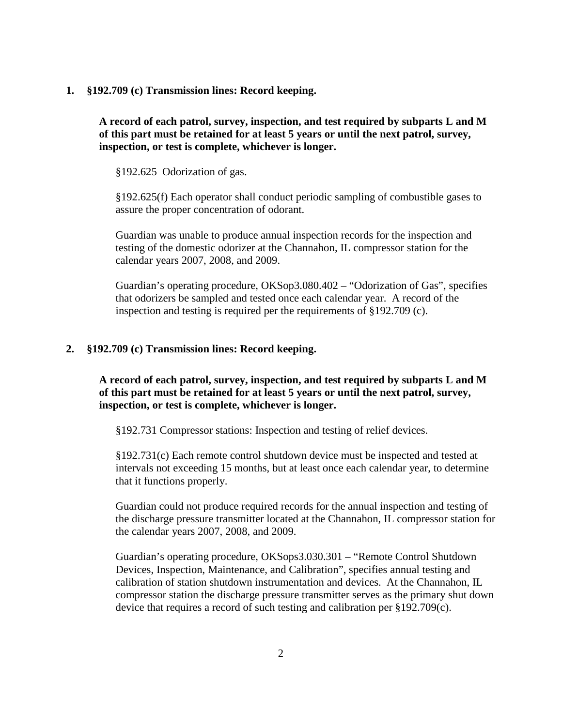**1. §192.709 (c) Transmission lines: Record keeping.**

**A record of each patrol, survey, inspection, and test required by subparts L and M of this part must be retained for at least 5 years or until the next patrol, survey, inspection, or test is complete, whichever is longer.**

§192.625 Odorization of gas.

§192.625(f) Each operator shall conduct periodic sampling of combustible gases to assure the proper concentration of odorant.

Guardian was unable to produce annual inspection records for the inspection and testing of the domestic odorizer at the Channahon, IL compressor station for the calendar years 2007, 2008, and 2009.

Guardian's operating procedure, OKSop3.080.402 – "Odorization of Gas", specifies that odorizers be sampled and tested once each calendar year. A record of the inspection and testing is required per the requirements of §192.709 (c).

#### **2. §192.709 (c) Transmission lines: Record keeping.**

**A record of each patrol, survey, inspection, and test required by subparts L and M of this part must be retained for at least 5 years or until the next patrol, survey, inspection, or test is complete, whichever is longer.**

§192.731 Compressor stations: Inspection and testing of relief devices.

§192.731(c) Each remote control shutdown device must be inspected and tested at intervals not exceeding 15 months, but at least once each calendar year, to determine that it functions properly.

Guardian could not produce required records for the annual inspection and testing of the discharge pressure transmitter located at the Channahon, IL compressor station for the calendar years 2007, 2008, and 2009.

Guardian's operating procedure, OKSops3.030.301 – "Remote Control Shutdown Devices, Inspection, Maintenance, and Calibration", specifies annual testing and calibration of station shutdown instrumentation and devices. At the Channahon, IL compressor station the discharge pressure transmitter serves as the primary shut down device that requires a record of such testing and calibration per §192.709(c).